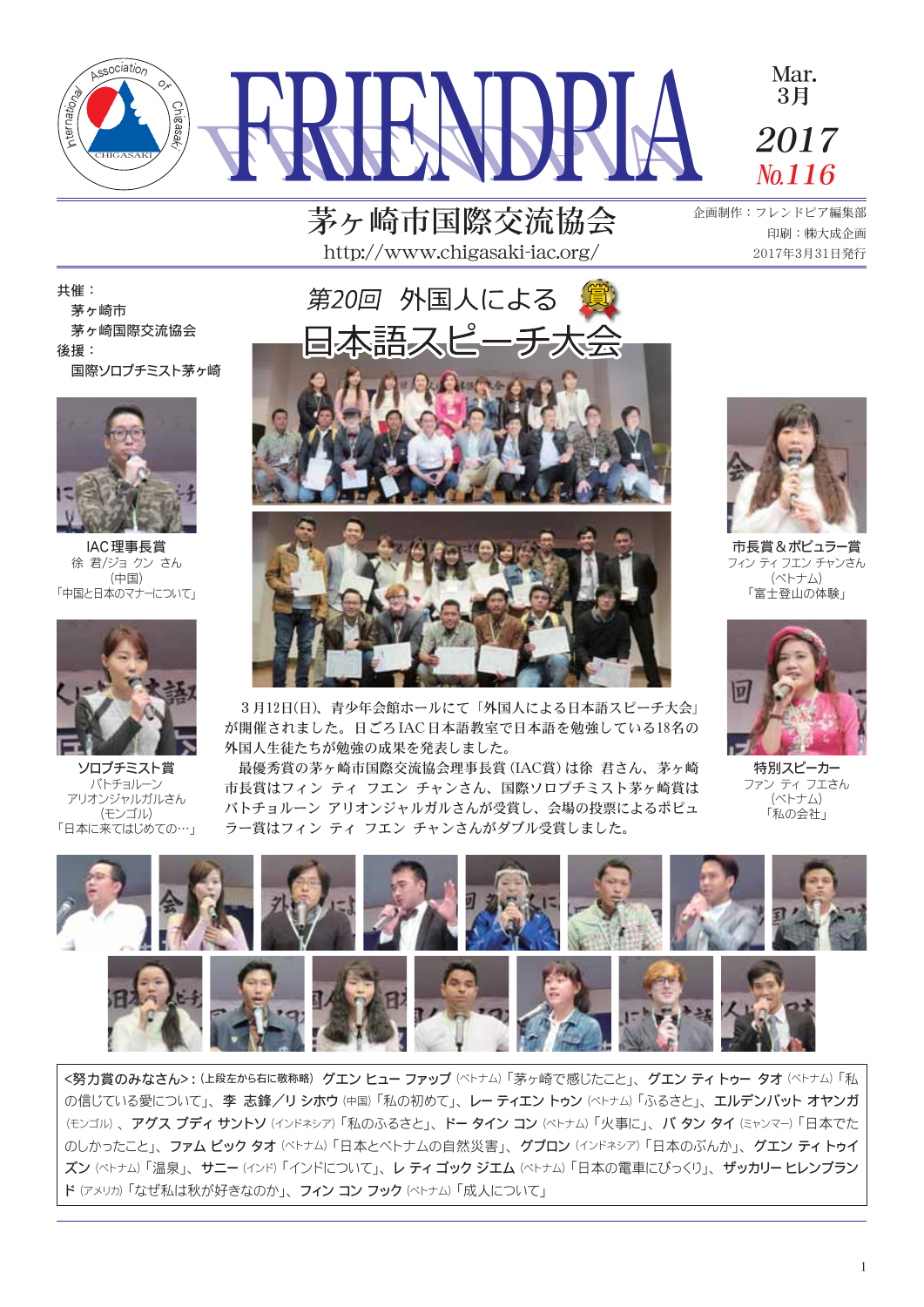

茅ヶ崎市国際交流協会 http://www.chigasaki-jac.org/

企画制作:フレンドピア編集部 印刷:㈱大成企画 2017年3月31日発行

共催: 茅ヶ崎市 茅ヶ崎国際交流協会 後援: 国際ソロプチミスト茅ヶ崎



IAC理事長賞 徐 君/ジョ クン さん (中国) 「中国と日本のマナーについて」



ソロプチミスト賞 バトチョルーン アリオンジャルガルさん (モンゴル) 「日本に来てはじめての…」







市長賞&ポピュラー賞 フィン ティ フエン チャンさん (ベトナム) 「富士登山の体験」



が開催されました。日ごろIAC日本語教室で日本語を勉強している18名の 外国人生徒たちが勉強の成果を発表しました。 最優秀賞の茅ヶ崎市国際交流協会理事長賞(IAC賞)は徐 君さん、茅ヶ崎

市長賞はフィン ティ フエン チャンさん、国際ソロプチミスト茅ヶ崎賞は バトチョルーン アリオンジャルガルさんが受賞し、会場の投票によるポピュ ラー賞はフィン ティ フエン チャンさんがダブル受賞しました。

3月12日(日)、青少年会館ホールにて「外国人による日本語スピーチ大会」

特別スピーカー -------<br>ファン ティ フエさん<br>(ベトナム) 「私の会社」



<努力賞のみなさん>: (上段左から右に敬称略) グエン ヒュー ファップ (ベトナム) 「茅ヶ崎で感じたこと」、 グエン ティトゥー タオ (ベトナム) 「私 の信じている愛について」、李志鋒/リシホウ(中国)「私の初めて」、レーティエントゥン(ペトナム)「ふるさと」、エルデンバットオヤンガ (モンゴル)、アグス ブディ サントソ (インドネシア) 「私のふるさと」、ドー タイン コン (ベトナム) 「火事に」、バ タン タイ (ミャンマー) 「日本でた のしかったこと」、ファムビックタオ(ベトナム)「日本とベトナムの自然災害」、グプロン(インドネシア)「日本のぶんか」、グエンティトゥイ ズン(ベトナム)「温泉」、サニー(インド)「インドについて」、レティゴックジエム(ベトナム)「日本の電車にびっくり」、ザッカリーヒレンブラン ド(アメリカ)「なぜ私は秋が好きなのか」、フィン コン フック (ベトナム)「成人について」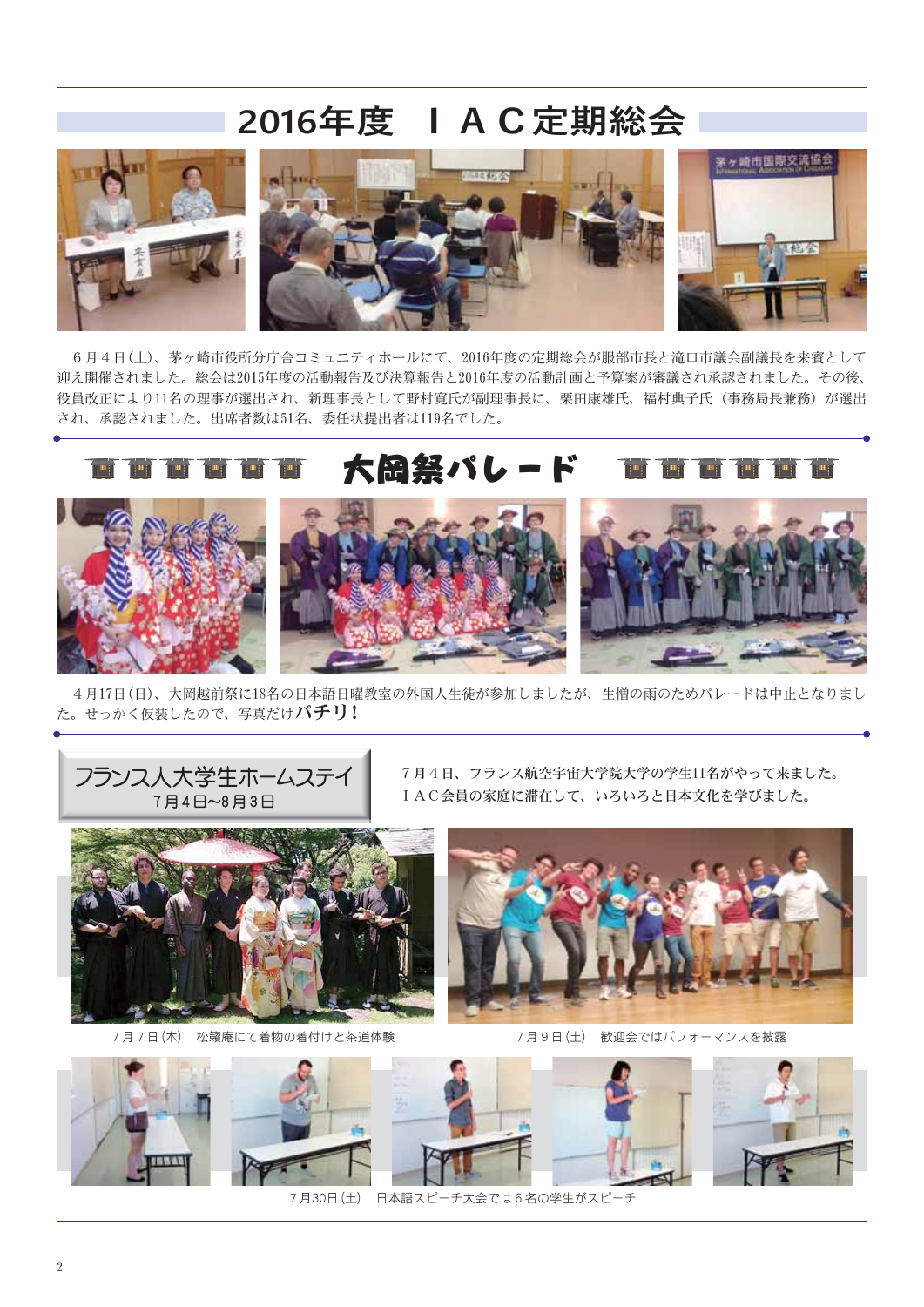# 2016年度 I A C 定期総会



6月4日(土)、茅ヶ崎市役所分庁舎コミュニティホールにて、2016年度の定期総会が服部市長と滝口市議会副議長を来賓として 迎え開催されました。総会は2015年度の活動報告及び決算報告と2016年度の活動計画と予算案が審議され承認されました。その後、 役員改正により11名の理事が選出され、新理事長として野村寛氏が副理事長に、栗田康雄氏、福村典子氏(事務局長兼務)が選出 され、承認されました。出席者数は51名、委任状提出者は119名でした。

# 大岡祭パレード

4月17日(日)、大岡越前祭に18名の日本語日曜教室の外国人生徒が参加しましたが、生憎の雨のためパレードは中止となりまし た。せっかく仮装したので、写真だけパチリ!



フランス人大学生ホームスラ

7月7日(木) 松籟庵にて着物の着付けと茶道体験







7月30日(土) 日本語スピーチ大会では6名の学生がスピーチ



7月4日、フランス航空宇宙大学院大学の学生11名がやって来ました。

7月9日(土) 歓迎会ではパフォーマンスを披露



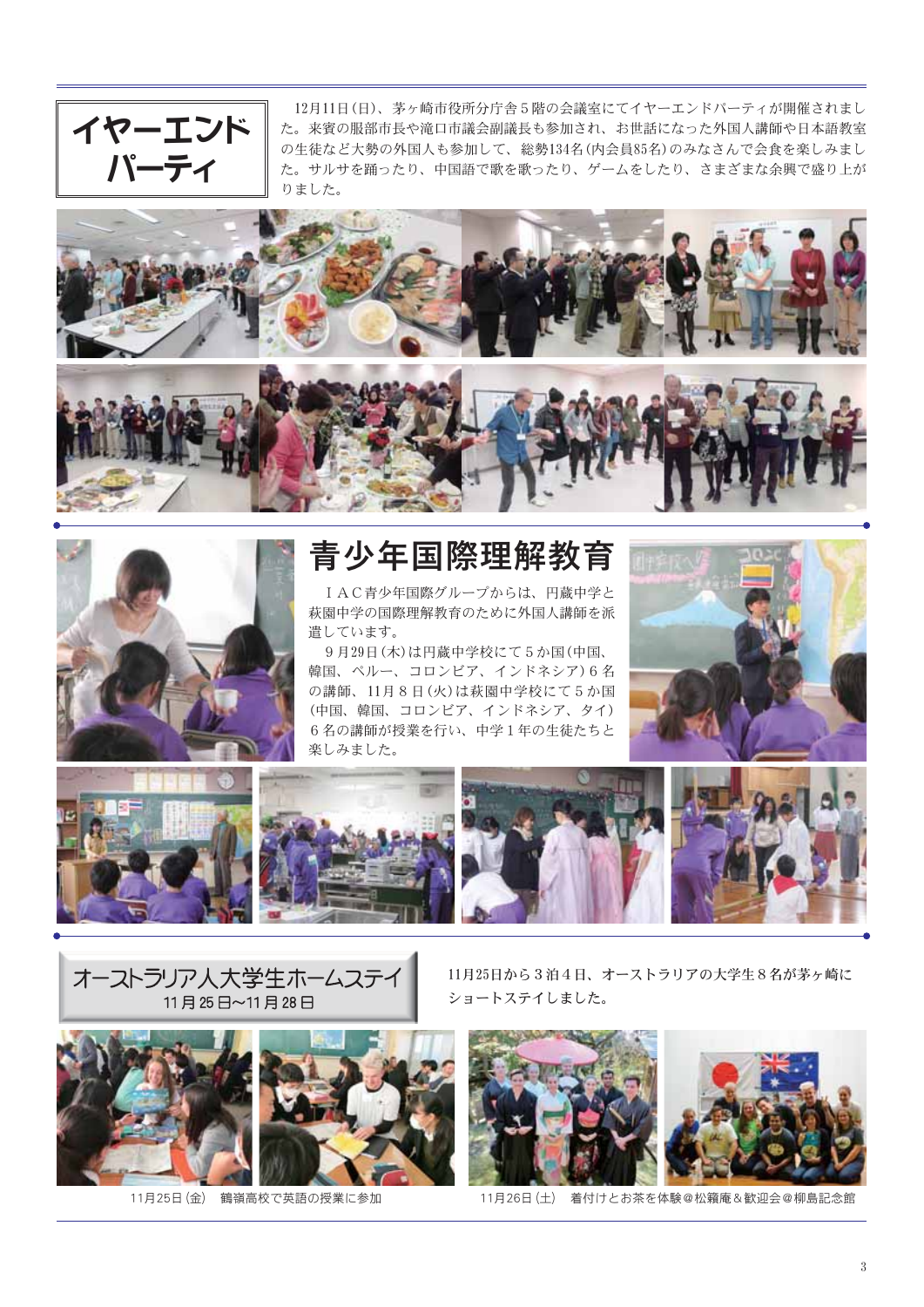

12月11日(日)、茅ヶ崎市役所分庁舎5階の会議室にてイヤーエンドパーティが開催されまし た。来賓の服部市長や滝口市議会副議長も参加され、お世話になった外国人講師や日本語教室 の生徒など大勢の外国人も参加して、総勢134名(内会員85名)のみなさんで会食を楽しみまし た。サルサを踊ったり、中国語で歌を歌ったり、ゲームをしたり、さまざまな余興で盛り上が りました。





青少年国際理解教育

IAC青少年国際グループからは、円蔵中学と 萩園中学の国際理解教育のために外国人講師を派 遣しています。

9月29日(木)は円蔵中学校にて5か国(中国、 韓国、ペルー、コロンビア、インドネシア)6名 の講師、11月8日(火)は萩園中学校にて5か国 (中国、韓国、コロンビア、インドネシア、タイ) 6名の講師が授業を行い、中学1年の生徒たちと 楽しみました。





オーストラリア人大学生ホームステイ 11月25日~11月28日



11月25日(金) 鶴嶺高校で英語の授業に参加

11月25日から3泊4日、オーストラリアの大学生8名が茅ヶ崎に ショートステイしました。



11月26日(土) 着付けとお茶を体験@松籟庵&歓迎会@柳島記念館